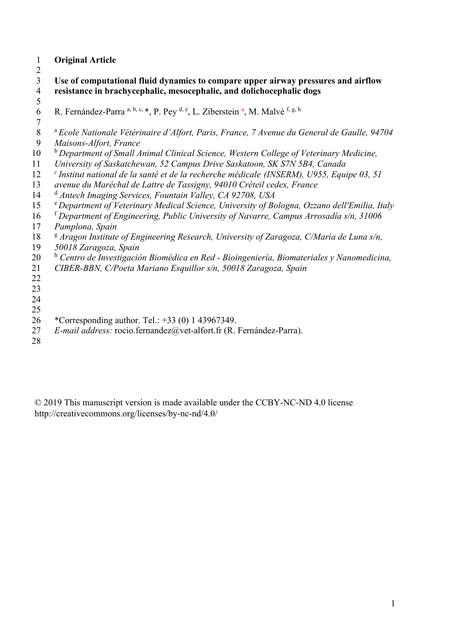### **Original Article**

 $\frac{2}{3}$ **Use of computational fluid dynamics to compare upper airway pressures and airflow resistance in brachycephalic, mesocephalic, and dolichocephalic dogs** 

- $\frac{5}{6}$ 6 R. Fernández-Parra a, b, c, \*, P. Pey  $\frac{d}{dx}$ , E. Ziberstein  $\frac{a}{dx}$ , M. Malvè f, g, h
- 7<br>8 <sup>a</sup> Ecole Nationale Vétérinaire d'Alfort, Paris, France, 7 Avenue du General de Gaulle, 94704<br>9 *Maisons-Alfort, France*
- *Maisons-Alfort, France*  b 10 *Department of Small Animal Clinical Science, Western College of Veterinary Medicine,*
- *University of Saskatchewan, 52 Campus Drive Saskatoon, SK S7N 5B4, Canada*
- *<sup>c</sup>Institut national de la santé et de la recherche médicale (INSERM), U955, Equipe 03, 51*
- *avenue du Maréchal de Lattre de Tassigny, 94010 Créteil cedex, France*
- <sup>d</sup> *Antech Imaging Services, Fountain Valley, CA 92708, USA*
- e 15 *Department of Veterinary Medical Science, University of Bologna, Ozzano dell'Emilia, Italy*
- <sup>f</sup> *Department of Engineering, Public University of Navarre, Campus Arrosadía s/n, 31006*
- *Pamplona, Spain*
- <sup>g</sup> Aragon Institute of Engineering Research, University of Zaragoza, C/María de Luna s/n,
- *50018 Zaragoza, Spain*
- <sup>h</sup> Centro de Investigación Biomédica en Red Bioingeniería, Biomateriales y Nanomedicina,
- *CIBER-BBN, C/Poeta Mariano Esquillor s/n, 50018 Zaragoza, Spain*
- 
- 
- 
- 
- 26 \*Corresponding author. Tel.: +33 (0) 1 43967349.
- *E-mail address:* rocio.fernandez@vet-alfort.fr (R. Fernández-Parra).
- 

© 2019 This manuscript version is made available under the CCBY-NC-ND 4.0 license http://creativecommons.org/licenses/by-nc-nd/4.0/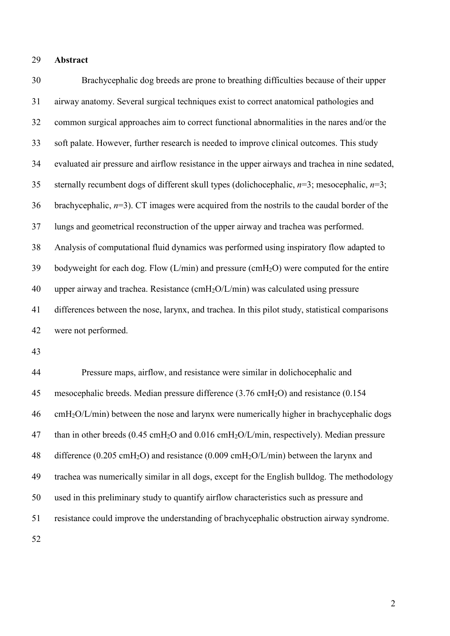#### **Abstract**

 Brachycephalic dog breeds are prone to breathing difficulties because of their upper airway anatomy. Several surgical techniques exist to correct anatomical pathologies and common surgical approaches aim to correct functional abnormalities in the nares and/or the soft palate. However, further research is needed to improve clinical outcomes. This study evaluated air pressure and airflow resistance in the upper airways and trachea in nine sedated, sternally recumbent dogs of different skull types (dolichocephalic, *n*=3; mesocephalic, *n*=3; brachycephalic, *n*=3). CT images were acquired from the nostrils to the caudal border of the lungs and geometrical reconstruction of the upper airway and trachea was performed. Analysis of computational fluid dynamics was performed using inspiratory flow adapted to 39 bodyweight for each dog. Flow  $(L/min)$  and pressure (cmH<sub>2</sub>O) were computed for the entire upper airway and trachea. Resistance (cmH2O/L/min) was calculated using pressure differences between the nose, larynx, and trachea. In this pilot study, statistical comparisons were not performed.

 Pressure maps, airflow, and resistance were similar in dolichocephalic and mesocephalic breeds. Median pressure difference (3.76 cmH2O) and resistance (0.154 cmH<sub>2</sub>O/L/min) between the nose and larynx were numerically higher in brachycephalic dogs 47 than in other breeds (0.45 cmH<sub>2</sub>O and 0.016 cmH<sub>2</sub>O/L/min, respectively). Median pressure 48 difference (0.205 cmH<sub>2</sub>O) and resistance (0.009 cmH<sub>2</sub>O/L/min) between the larynx and trachea was numerically similar in all dogs, except for the English bulldog. The methodology used in this preliminary study to quantify airflow characteristics such as pressure and resistance could improve the understanding of brachycephalic obstruction airway syndrome.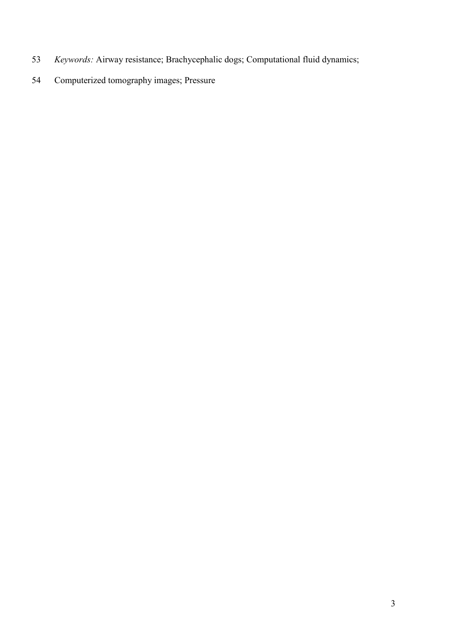- *Keywords:* Airway resistance; Brachycephalic dogs; Computational fluid dynamics;
- Computerized tomography images; Pressure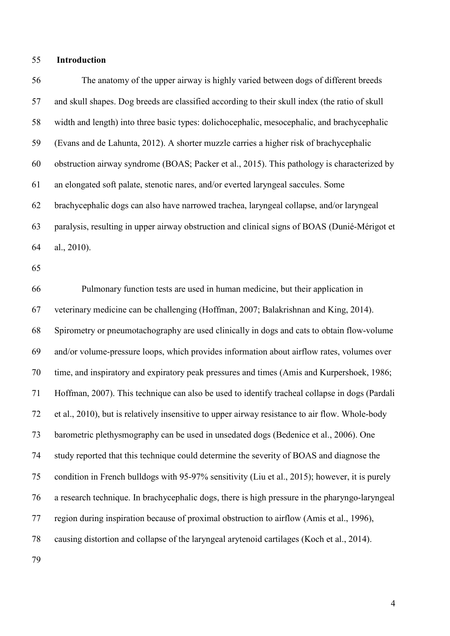#### **Introduction**

 The anatomy of the upper airway is highly varied between dogs of different breeds and skull shapes. Dog breeds are classified according to their skull index (the ratio of skull width and length) into three basic types: dolichocephalic, mesocephalic, and brachycephalic (Evans and de Lahunta, 2012). A shorter muzzle carries a higher risk of brachycephalic obstruction airway syndrome (BOAS; Packer et al., 2015). This pathology is characterized by an elongated soft palate, stenotic nares, and/or everted laryngeal saccules. Some brachycephalic dogs can also have narrowed trachea, laryngeal collapse, and/or laryngeal paralysis, resulting in upper airway obstruction and clinical signs of BOAS (Dunié-Mérigot et al., 2010).

 Pulmonary function tests are used in human medicine, but their application in veterinary medicine can be challenging (Hoffman, 2007; Balakrishnan and King, 2014). Spirometry or pneumotachography are used clinically in dogs and cats to obtain flow-volume and/or volume-pressure loops, which provides information about airflow rates, volumes over time, and inspiratory and expiratory peak pressures and times (Amis and Kurpershoek, 1986; Hoffman, 2007). This technique can also be used to identify tracheal collapse in dogs (Pardali et al., 2010), but is relatively insensitive to upper airway resistance to air flow. Whole-body barometric plethysmography can be used in unsedated dogs (Bedenice et al., 2006). One study reported that this technique could determine the severity of BOAS and diagnose the condition in French bulldogs with 95-97% sensitivity (Liu et al., 2015); however, it is purely a research technique. In brachycephalic dogs, there is high pressure in the pharyngo-laryngeal region during inspiration because of proximal obstruction to airflow (Amis et al., 1996), causing distortion and collapse of the laryngeal arytenoid cartilages (Koch et al., 2014).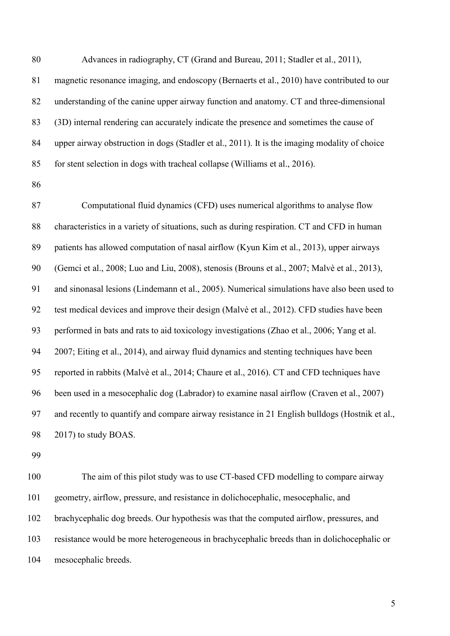magnetic resonance imaging, and endoscopy (Bernaerts et al., 2010) have contributed to our understanding of the canine upper airway function and anatomy. CT and three-dimensional (3D) internal rendering can accurately indicate the presence and sometimes the cause of upper airway obstruction in dogs (Stadler et al., 2011). It is the imaging modality of choice for stent selection in dogs with tracheal collapse (Williams et al., 2016).

Advances in radiography, CT (Grand and Bureau, 2011; Stadler et al., 2011),

 Computational fluid dynamics (CFD) uses numerical algorithms to analyse flow 88 characteristics in a variety of situations, such as during respiration. CT and CFD in human patients has allowed computation of nasal airflow (Kyun Kim et al., 2013), upper airways (Gemci et al., 2008; Luo and Liu, 2008), stenosis (Brouns et al., 2007; Malvè et al., 2013), and sinonasal lesions (Lindemann et al., 2005). Numerical simulations have also been used to test medical devices and improve their design (Malvè et al., 2012). CFD studies have been performed in bats and rats to aid toxicology investigations (Zhao et al., 2006; Yang et al. 2007; Eiting et al., 2014), and airway fluid dynamics and stenting techniques have been reported in rabbits (Malvè et al., 2014; Chaure et al., 2016). CT and CFD techniques have been used in a mesocephalic dog (Labrador) to examine nasal airflow (Craven et al., 2007) and recently to quantify and compare airway resistance in 21 English bulldogs (Hostnik et al., 2017) to study BOAS.

 The aim of this pilot study was to use CT-based CFD modelling to compare airway geometry, airflow, pressure, and resistance in dolichocephalic, mesocephalic, and brachycephalic dog breeds. Our hypothesis was that the computed airflow, pressures, and resistance would be more heterogeneous in brachycephalic breeds than in dolichocephalic or mesocephalic breeds.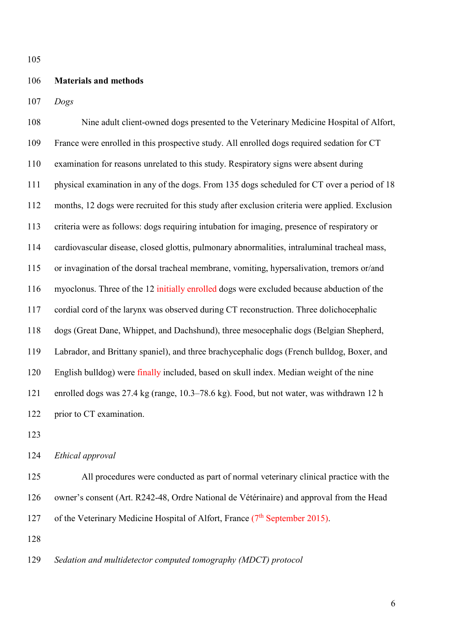#### **Materials and methods**

*Dogs*

 Nine adult client-owned dogs presented to the Veterinary Medicine Hospital of Alfort, France were enrolled in this prospective study. All enrolled dogs required sedation for CT examination for reasons unrelated to this study. Respiratory signs were absent during physical examination in any of the dogs. From 135 dogs scheduled for CT over a period of 18 months, 12 dogs were recruited for this study after exclusion criteria were applied. Exclusion criteria were as follows: dogs requiring intubation for imaging, presence of respiratory or cardiovascular disease, closed glottis, pulmonary abnormalities, intraluminal tracheal mass, or invagination of the dorsal tracheal membrane, vomiting, hypersalivation, tremors or/and myoclonus. Three of the 12 initially enrolled dogs were excluded because abduction of the cordial cord of the larynx was observed during CT reconstruction. Three dolichocephalic dogs (Great Dane, Whippet, and Dachshund), three mesocephalic dogs (Belgian Shepherd, Labrador, and Brittany spaniel), and three brachycephalic dogs (French bulldog, Boxer, and English bulldog) were finally included, based on skull index. Median weight of the nine enrolled dogs was 27.4 kg (range, 10.3–78.6 kg). Food, but not water, was withdrawn 12 h 122 prior to CT examination.

*Ethical approval*

 All procedures were conducted as part of normal veterinary clinical practice with the owner's consent (Art. R242-48, Ordre National de Vétérinaire) and approval from the Head 127 of the Veterinary Medicine Hospital of Alfort, France  $(7<sup>th</sup>$  September 2015).

*Sedation and multidetector computed tomography (MDCT) protocol*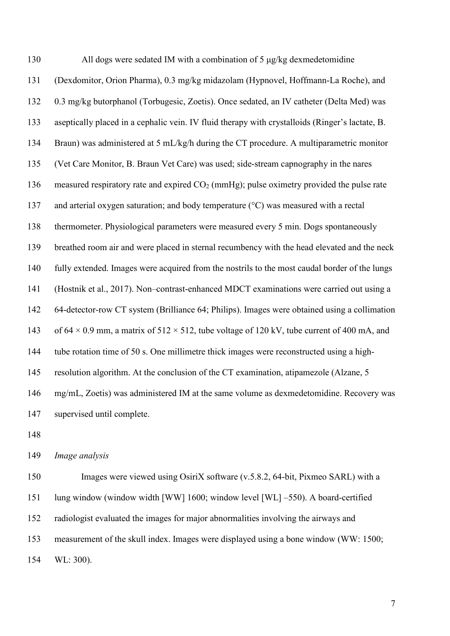All dogs were sedated IM with a combination of 5 μg/kg dexmedetomidine (Dexdomitor, Orion Pharma), 0.3 mg/kg midazolam (Hypnovel, Hoffmann-La Roche), and 0.3 mg/kg butorphanol (Torbugesic, Zoetis). Once sedated, an IV catheter (Delta Med) was aseptically placed in a cephalic vein. IV fluid therapy with crystalloids (Ringer's lactate, B. Braun) was administered at 5 mL/kg/h during the CT procedure. A multiparametric monitor (Vet Care Monitor, B. Braun Vet Care) was used; side-stream capnography in the nares measured respiratory rate and expired CO2 (mmHg); pulse oximetry provided the pulse rate 137 and arterial oxygen saturation; and body temperature (°C) was measured with a rectal thermometer. Physiological parameters were measured every 5 min. Dogs spontaneously breathed room air and were placed in sternal recumbency with the head elevated and the neck fully extended. Images were acquired from the nostrils to the most caudal border of the lungs (Hostnik et al., 2017). Non–contrast-enhanced MDCT examinations were carried out using a 64-detector-row CT system (Brilliance 64; Philips). Images were obtained using a collimation 143 of  $64 \times 0.9$  mm, a matrix of  $512 \times 512$ , tube voltage of 120 kV, tube current of 400 mA, and tube rotation time of 50 s. One millimetre thick images were reconstructed using a high- resolution algorithm. At the conclusion of the CT examination, atipamezole (Alzane, 5 mg/mL, Zoetis) was administered IM at the same volume as dexmedetomidine. Recovery was supervised until complete.

*Image analysis*

 Images were viewed using OsiriX software (v.5.8.2, 64-bit, Pixmeo SARL) with a lung window (window width [WW] 1600; window level [WL] –550). A board-certified radiologist evaluated the images for major abnormalities involving the airways and measurement of the skull index. Images were displayed using a bone window (WW: 1500; WL: 300).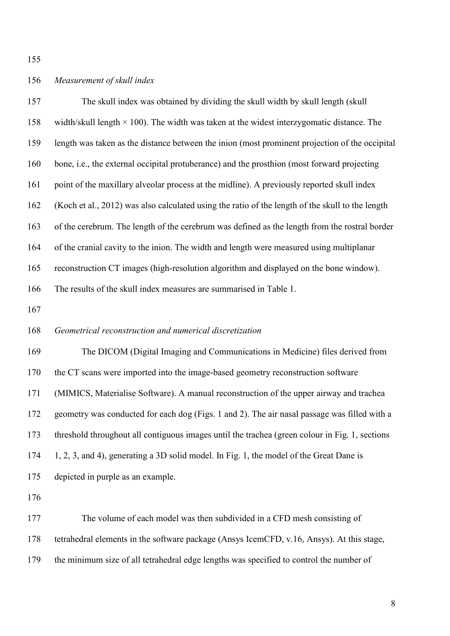## *Measurement of skull index*

| 157 | The skull index was obtained by dividing the skull width by skull length (skull                  |
|-----|--------------------------------------------------------------------------------------------------|
| 158 | width/skull length $\times$ 100). The width was taken at the widest interzygomatic distance. The |
| 159 | length was taken as the distance between the inion (most prominent projection of the occipital   |
| 160 | bone, i.e., the external occipital protuberance) and the prosthion (most forward projecting      |
| 161 | point of the maxillary alveolar process at the midline). A previously reported skull index       |
| 162 | (Koch et al., 2012) was also calculated using the ratio of the length of the skull to the length |
| 163 | of the cerebrum. The length of the cerebrum was defined as the length from the rostral border    |
| 164 | of the cranial cavity to the inion. The width and length were measured using multiplanar         |
| 165 | reconstruction CT images (high-resolution algorithm and displayed on the bone window).           |
| 166 | The results of the skull index measures are summarised in Table 1.                               |
| 167 |                                                                                                  |
| 168 | Geometrical reconstruction and numerical discretization                                          |
| 169 | The DICOM (Digital Imaging and Communications in Medicine) files derived from                    |
| 170 | the CT scans were imported into the image-based geometry reconstruction software                 |
| 171 | (MIMICS, Materialise Software). A manual reconstruction of the upper airway and trachea          |
| 172 | geometry was conducted for each dog (Figs. 1 and 2). The air nasal passage was filled with a     |
| 173 | threshold throughout all contiguous images until the trachea (green colour in Fig. 1, sections   |
| 174 | 1, 2, 3, and 4), generating a 3D solid model. In Fig. 1, the model of the Great Dane is          |
| 175 | depicted in purple as an example.                                                                |
| 176 |                                                                                                  |
|     |                                                                                                  |

 The volume of each model was then subdivided in a CFD mesh consisting of tetrahedral elements in the software package (Ansys IcemCFD, v.16, Ansys). At this stage, the minimum size of all tetrahedral edge lengths was specified to control the number of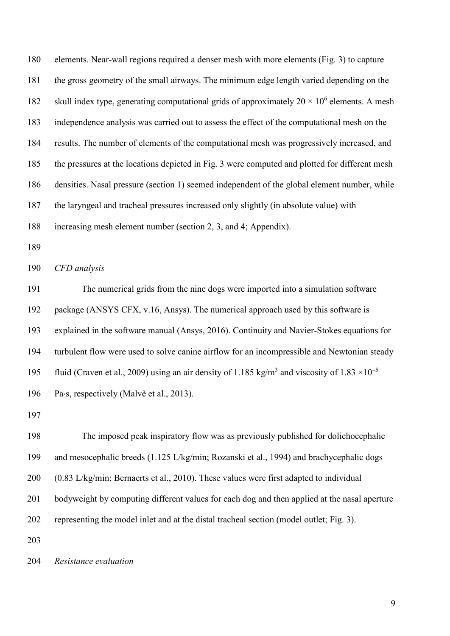elements. Near-wall regions required a denser mesh with more elements (Fig. 3) to capture the gross geometry of the small airways. The minimum edge length varied depending on the 182 skull index type, generating computational grids of approximately  $20 \times 10^6$  elements. A mesh independence analysis was carried out to assess the effect of the computational mesh on the results. The number of elements of the computational mesh was progressively increased, and the pressures at the locations depicted in Fig. 3 were computed and plotted for different mesh densities. Nasal pressure (section 1) seemed independent of the global element number, while the laryngeal and tracheal pressures increased only slightly (in absolute value) with increasing mesh element number (section 2, 3, and 4; Appendix).

*CFD analysis*

 The numerical grids from the nine dogs were imported into a simulation software package (ANSYS CFX, v.16, Ansys). The numerical approach used by this software is explained in the software manual (Ansys, 2016). Continuity and Navier-Stokes equations for turbulent flow were used to solve canine airflow for an incompressible and Newtonian steady 195 fluid (Craven et al., 2009) using an air density of 1.185 kg/m<sup>3</sup> and viscosity of  $1.83 \times 10^{-5}$ 196 Pa⋅s, respectively (Malvè et al., 2013).

 The imposed peak inspiratory flow was as previously published for dolichocephalic and mesocephalic breeds (1.125 L/kg/min; Rozanski et al., 1994) and brachycephalic dogs (0.83 L/kg/min; Bernaerts et al., 2010). These values were first adapted to individual bodyweight by computing different values for each dog and then applied at the nasal aperture representing the model inlet and at the distal tracheal section (model outlet; Fig. 3).

*Resistance evaluation*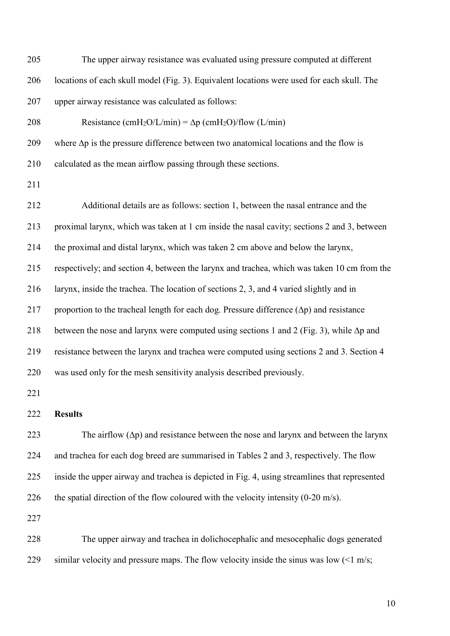| 205 | The upper airway resistance was evaluated using pressure computed at different                     |
|-----|----------------------------------------------------------------------------------------------------|
| 206 | locations of each skull model (Fig. 3). Equivalent locations were used for each skull. The         |
| 207 | upper airway resistance was calculated as follows:                                                 |
| 208 | Resistance (cmH <sub>2</sub> O/L/min) = $\Delta p$ (cmH <sub>2</sub> O)/flow (L/min)               |
| 209 | where $\Delta p$ is the pressure difference between two anatomical locations and the flow is       |
| 210 | calculated as the mean airflow passing through these sections.                                     |
| 211 |                                                                                                    |
| 212 | Additional details are as follows: section 1, between the nasal entrance and the                   |
| 213 | proximal larynx, which was taken at 1 cm inside the nasal cavity; sections 2 and 3, between        |
| 214 | the proximal and distal larynx, which was taken 2 cm above and below the larynx,                   |
| 215 | respectively; and section 4, between the larynx and trachea, which was taken 10 cm from the        |
| 216 | larynx, inside the trachea. The location of sections 2, 3, and 4 varied slightly and in            |
| 217 | proportion to the tracheal length for each dog. Pressure difference $(\Delta p)$ and resistance    |
| 218 | between the nose and larynx were computed using sections 1 and 2 (Fig. 3), while $\Delta p$ and    |
| 219 | resistance between the larynx and trachea were computed using sections 2 and 3. Section 4          |
| 220 | was used only for the mesh sensitivity analysis described previously.                              |
| 221 |                                                                                                    |
| 222 | <b>Results</b>                                                                                     |
| 223 | The airflow $(\Delta p)$ and resistance between the nose and larynx and between the larynx         |
| 224 | and trachea for each dog breed are summarised in Tables 2 and 3, respectively. The flow            |
| 225 | inside the upper airway and trachea is depicted in Fig. 4, using streamlines that represented      |
| 226 | the spatial direction of the flow coloured with the velocity intensity $(0\n-20 \text{ m/s})$ .    |
| 227 |                                                                                                    |
| 228 | The upper airway and trachea in dolichocephalic and mesocephalic dogs generated                    |
| 229 | similar velocity and pressure maps. The flow velocity inside the sinus was low $(1 \text{ m/s})$ ; |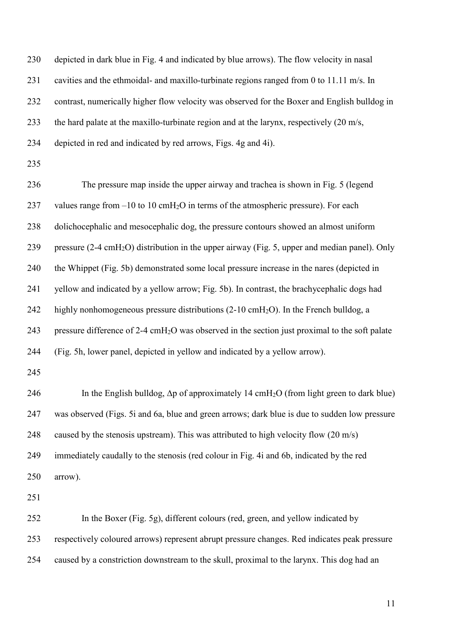| 230 | depicted in dark blue in Fig. 4 and indicated by blue arrows). The flow velocity in nasal                  |
|-----|------------------------------------------------------------------------------------------------------------|
| 231 | cavities and the ethmoidal- and maxillo-turbinate regions ranged from 0 to 11.11 m/s. In                   |
| 232 | contrast, numerically higher flow velocity was observed for the Boxer and English bulldog in               |
| 233 | the hard palate at the maxillo-turbinate region and at the larynx, respectively $(20 \text{ m/s},$         |
| 234 | depicted in red and indicated by red arrows, Figs. 4g and 4i).                                             |
| 235 |                                                                                                            |
| 236 | The pressure map inside the upper airway and trachea is shown in Fig. 5 (legend                            |
| 237 | values range from $-10$ to 10 cmH <sub>2</sub> O in terms of the atmospheric pressure). For each           |
| 238 | dolichocephalic and mesocephalic dog, the pressure contours showed an almost uniform                       |
| 239 | pressure (2-4 cmH <sub>2</sub> O) distribution in the upper airway (Fig. 5, upper and median panel). Only  |
| 240 | the Whippet (Fig. 5b) demonstrated some local pressure increase in the nares (depicted in                  |
| 241 | yellow and indicated by a yellow arrow; Fig. 5b). In contrast, the brachycephalic dogs had                 |
| 242 | highly nonhomogeneous pressure distributions (2-10 cmH <sub>2</sub> O). In the French bulldog, a           |
| 243 | pressure difference of 2-4 cmH <sub>2</sub> O was observed in the section just proximal to the soft palate |
| 244 | (Fig. 5h, lower panel, depicted in yellow and indicated by a yellow arrow).                                |
| 245 |                                                                                                            |
| 246 | In the English bulldog, $\Delta p$ of approximately 14 cmH <sub>2</sub> O (from light green to dark blue)  |
| 247 | was observed (Figs. 5i and 6a, blue and green arrows; dark blue is due to sudden low pressure              |
| 248 | caused by the stenosis upstream). This was attributed to high velocity flow (20 m/s)                       |
| 249 | immediately caudally to the stenosis (red colour in Fig. 4i and 6b, indicated by the red                   |
| 250 | arrow).                                                                                                    |
| 251 |                                                                                                            |
| 252 | In the Boxer (Fig. 5g), different colours (red, green, and yellow indicated by                             |
| 253 | respectively coloured arrows) represent abrupt pressure changes. Red indicates peak pressure               |
| 254 | caused by a constriction downstream to the skull, proximal to the larynx. This dog had an                  |
|     |                                                                                                            |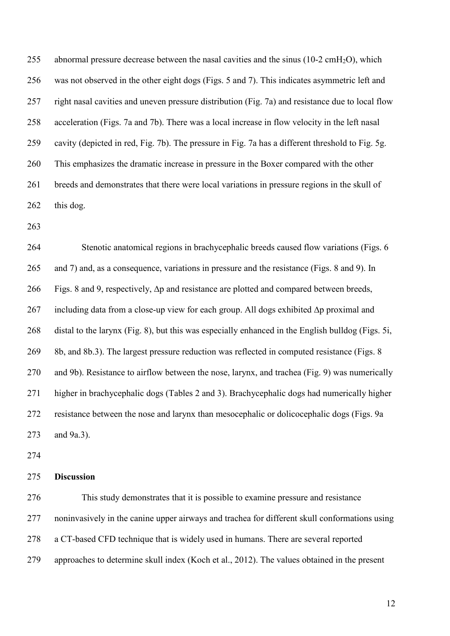255 abnormal pressure decrease between the nasal cavities and the sinus  $(10-2 \text{ cmH}_2\text{O})$ , which was not observed in the other eight dogs (Figs. 5 and 7). This indicates asymmetric left and right nasal cavities and uneven pressure distribution (Fig. 7a) and resistance due to local flow acceleration (Figs. 7a and 7b). There was a local increase in flow velocity in the left nasal cavity (depicted in red, Fig. 7b). The pressure in Fig. 7a has a different threshold to Fig. 5g. This emphasizes the dramatic increase in pressure in the Boxer compared with the other breeds and demonstrates that there were local variations in pressure regions in the skull of this dog.

 Stenotic anatomical regions in brachycephalic breeds caused flow variations (Figs. 6 and 7) and, as a consequence, variations in pressure and the resistance (Figs. 8 and 9). In Figs. 8 and 9, respectively, ∆p and resistance are plotted and compared between breeds, including data from a close-up view for each group. All dogs exhibited ∆p proximal and distal to the larynx (Fig. 8), but this was especially enhanced in the English bulldog (Figs. 5i, 8b, and 8b.3). The largest pressure reduction was reflected in computed resistance (Figs. 8 and 9b). Resistance to airflow between the nose, larynx, and trachea (Fig. 9) was numerically higher in brachycephalic dogs (Tables 2 and 3). Brachycephalic dogs had numerically higher resistance between the nose and larynx than mesocephalic or dolicocephalic dogs (Figs. 9a and 9a.3).

### **Discussion**

 This study demonstrates that it is possible to examine pressure and resistance noninvasively in the canine upper airways and trachea for different skull conformations using a CT-based CFD technique that is widely used in humans. There are several reported approaches to determine skull index (Koch et al., 2012). The values obtained in the present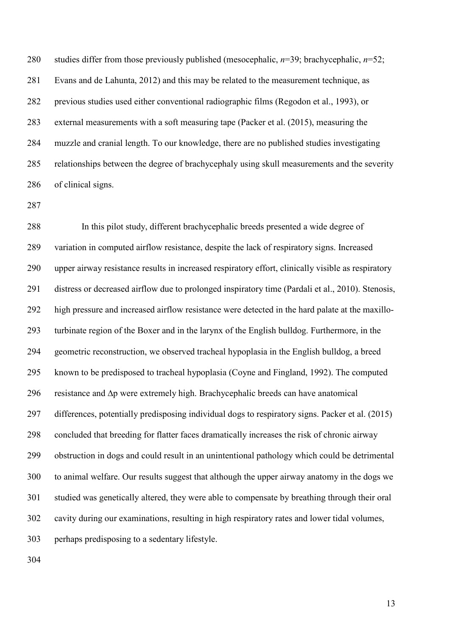studies differ from those previously published (mesocephalic, *n*=39; brachycephalic, *n*=52; Evans and de Lahunta, 2012) and this may be related to the measurement technique, as previous studies used either conventional radiographic films (Regodon et al., 1993), or external measurements with a soft measuring tape (Packer et al. (2015), measuring the muzzle and cranial length. To our knowledge, there are no published studies investigating relationships between the degree of brachycephaly using skull measurements and the severity of clinical signs.

 In this pilot study, different brachycephalic breeds presented a wide degree of variation in computed airflow resistance, despite the lack of respiratory signs. Increased upper airway resistance results in increased respiratory effort, clinically visible as respiratory distress or decreased airflow due to prolonged inspiratory time (Pardali et al., 2010). Stenosis, high pressure and increased airflow resistance were detected in the hard palate at the maxillo- turbinate region of the Boxer and in the larynx of the English bulldog. Furthermore, in the geometric reconstruction, we observed tracheal hypoplasia in the English bulldog, a breed known to be predisposed to tracheal hypoplasia (Coyne and Fingland, 1992). The computed resistance and ∆p were extremely high. Brachycephalic breeds can have anatomical differences, potentially predisposing individual dogs to respiratory signs. Packer et al. (2015) concluded that breeding for flatter faces dramatically increases the risk of chronic airway obstruction in dogs and could result in an unintentional pathology which could be detrimental to animal welfare. Our results suggest that although the upper airway anatomy in the dogs we studied was genetically altered, they were able to compensate by breathing through their oral cavity during our examinations, resulting in high respiratory rates and lower tidal volumes, perhaps predisposing to a sedentary lifestyle.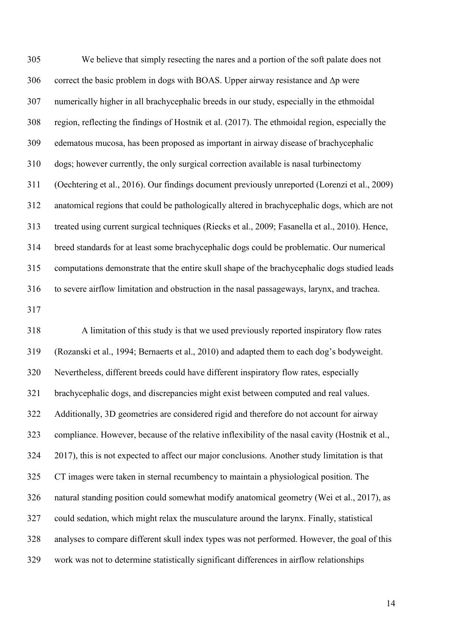We believe that simply resecting the nares and a portion of the soft palate does not correct the basic problem in dogs with BOAS. Upper airway resistance and ∆p were numerically higher in all brachycephalic breeds in our study, especially in the ethmoidal region, reflecting the findings of Hostnik et al. (2017). The ethmoidal region, especially the edematous mucosa, has been proposed as important in airway disease of brachycephalic dogs; however currently, the only surgical correction available is nasal turbinectomy (Oechtering et al., 2016). Our findings document previously unreported (Lorenzi et al., 2009) anatomical regions that could be pathologically altered in brachycephalic dogs, which are not treated using current surgical techniques (Riecks et al., 2009; Fasanella et al., 2010). Hence, breed standards for at least some brachycephalic dogs could be problematic. Our numerical computations demonstrate that the entire skull shape of the brachycephalic dogs studied leads to severe airflow limitation and obstruction in the nasal passageways, larynx, and trachea.

 A limitation of this study is that we used previously reported inspiratory flow rates (Rozanski et al., 1994; Bernaerts et al., 2010) and adapted them to each dog's bodyweight. Nevertheless, different breeds could have different inspiratory flow rates, especially brachycephalic dogs, and discrepancies might exist between computed and real values. Additionally, 3D geometries are considered rigid and therefore do not account for airway compliance. However, because of the relative inflexibility of the nasal cavity (Hostnik et al., 2017), this is not expected to affect our major conclusions. Another study limitation is that CT images were taken in sternal recumbency to maintain a physiological position. The natural standing position could somewhat modify anatomical geometry (Wei et al., 2017), as could sedation, which might relax the musculature around the larynx. Finally, statistical analyses to compare different skull index types was not performed. However, the goal of this work was not to determine statistically significant differences in airflow relationships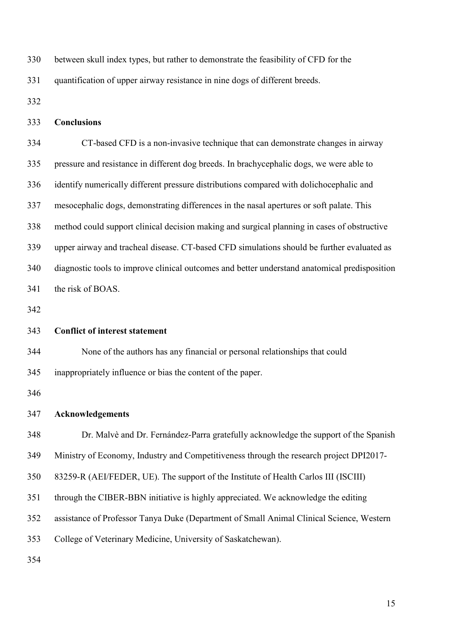between skull index types, but rather to demonstrate the feasibility of CFD for the quantification of upper airway resistance in nine dogs of different breeds. **Conclusions** CT-based CFD is a non-invasive technique that can demonstrate changes in airway pressure and resistance in different dog breeds. In brachycephalic dogs, we were able to identify numerically different pressure distributions compared with dolichocephalic and mesocephalic dogs, demonstrating differences in the nasal apertures or soft palate. This method could support clinical decision making and surgical planning in cases of obstructive upper airway and tracheal disease. CT-based CFD simulations should be further evaluated as diagnostic tools to improve clinical outcomes and better understand anatomical predisposition the risk of BOAS. **Conflict of interest statement** None of the authors has any financial or personal relationships that could inappropriately influence or bias the content of the paper. **Acknowledgements** Dr. Malvè and Dr. Fernández-Parra gratefully acknowledge the support of the Spanish Ministry of Economy, Industry and Competitiveness through the research project DPI2017- 83259-R (AEI/FEDER, UE). The support of the Institute of Health Carlos III (ISCIII) through the CIBER-BBN initiative is highly appreciated. We acknowledge the editing assistance of Professor Tanya Duke (Department of Small Animal Clinical Science, Western College of Veterinary Medicine, University of Saskatchewan).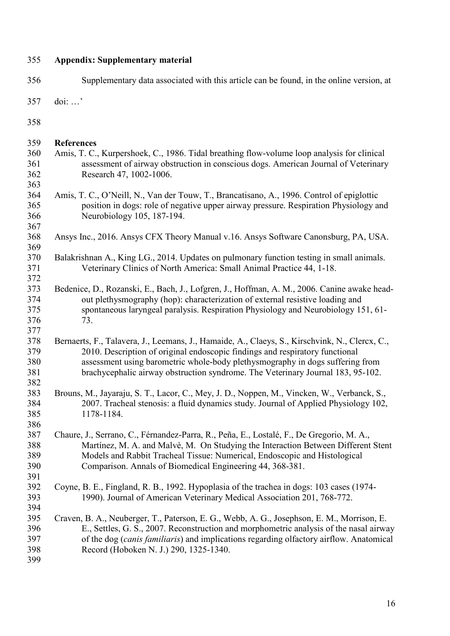#### **Appendix: Supplementary material**

- Supplementary data associated with this article can be found, in the online version, at
- doi: …'

- Amis, T. C., Kurpershoek, C., 1986. Tidal breathing flow-volume loop analysis for clinical assessment of airway obstruction in conscious dogs. American Journal of Veterinary Research 47, 1002-1006.
- Amis, T. C., O'Neill, N., Van der Touw, T., Brancatisano, A., 1996. Control of epiglottic position in dogs: role of negative upper airway pressure. Respiration Physiology and Neurobiology 105, 187-194.
- 367<br>368 Ansys Inc., 2016. Ansys CFX Theory Manual v.16. Ansys Software Canonsburg, PA, USA.
- 369<br>370 Balakrishnan A., King LG., 2014. Updates on pulmonary function testing in small animals. Veterinary Clinics of North America: Small Animal Practice 44, 1-18.
- 372<br>373 Bedenice, D., Rozanski, E., Bach, J., Lofgren, J., Hoffman, A. M., 2006. Canine awake head-374 out plethysmography (hop): characterization of external resistive loading and<br>375 spontaneous laryngeal paralysis. Respiration Physiology and Neurobiology 15 spontaneous laryngeal paralysis. Respiration Physiology and Neurobiology 151, 61-73.
- Bernaerts, F., Talavera, J., Leemans, J., Hamaide, A., Claeys, S., Kirschvink, N., Clercx, C., 379 2010. Description of original endoscopic findings and respiratory functional<br>380 ssessment using barometric whole-body plethysmography in dogs suffering assessment using barometric whole-body plethysmography in dogs suffering from brachycephalic airway obstruction syndrome. The Veterinary Journal 183, 95-102.
- Brouns, M., Jayaraju, S. T., Lacor, C., Mey, J. D., Noppen, M., Vincken, W., Verbanck, S., 2007. Tracheal stenosis: a fluid dynamics study. Journal of Applied Physiology 102, 1178-1184.
- Chaure, J., Serrano, C., Férnandez-Parra, R., Peña, E., Lostalé, F., De Gregorio, M. A., Martínez, M. A. and Malvè, M. On Studying the Interaction Between Different Stent Models and Rabbit Tracheal Tissue: Numerical, Endoscopic and Histological Comparison. Annals of Biomedical Engineering 44, 368-381.
- Coyne, B. E., Fingland, R. B., 1992. Hypoplasia of the trachea in dogs: 103 cases (1974- 1990). Journal of American Veterinary Medical Association 201, 768-772.
- Craven, B. A., Neuberger, T., Paterson, E. G., Webb, A. G., Josephson, E. M., Morrison, E. E., Settles, G. S., 2007. Reconstruction and morphometric analysis of the nasal airway of the dog (*canis familiaris*) and implications regarding olfactory airflow. Anatomical Record (Hoboken N. J.) 290, 1325-1340.
-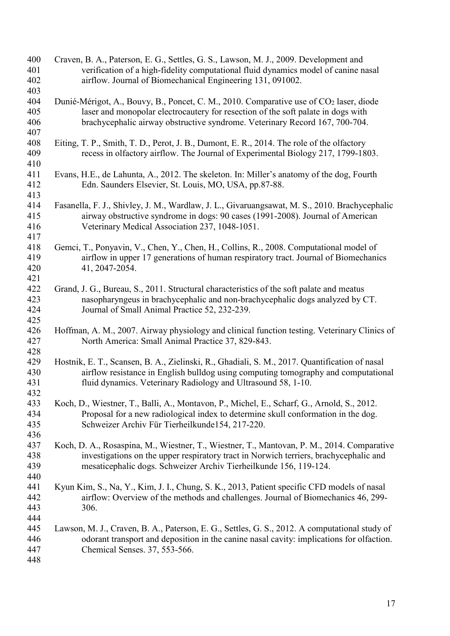| 400<br>401 | Craven, B. A., Paterson, E. G., Settles, G. S., Lawson, M. J., 2009. Development and<br>verification of a high-fidelity computational fluid dynamics model of canine nasal |
|------------|----------------------------------------------------------------------------------------------------------------------------------------------------------------------------|
| 402        | airflow. Journal of Biomechanical Engineering 131, 091002.                                                                                                                 |
| 403        |                                                                                                                                                                            |
| 404        | Dunié-Mérigot, A., Bouvy, B., Poncet, C. M., 2010. Comparative use of CO2 laser, diode                                                                                     |
| 405        | laser and monopolar electrocautery for resection of the soft palate in dogs with                                                                                           |
| 406        | brachycephalic airway obstructive syndrome. Veterinary Record 167, 700-704.                                                                                                |
| 407        |                                                                                                                                                                            |
| 408        | Eiting, T. P., Smith, T. D., Perot, J. B., Dumont, E. R., 2014. The role of the olfactory                                                                                  |
| 409        | recess in olfactory airflow. The Journal of Experimental Biology 217, 1799-1803.                                                                                           |
| 410        |                                                                                                                                                                            |
| 411        | Evans, H.E., de Lahunta, A., 2012. The skeleton. In: Miller's anatomy of the dog, Fourth                                                                                   |
| 412        | Edn. Saunders Elsevier, St. Louis, MO, USA, pp.87-88.                                                                                                                      |
| 413        |                                                                                                                                                                            |
| 414        | Fasanella, F. J., Shivley, J. M., Wardlaw, J. L., Givaruangsawat, M. S., 2010. Brachycephalic                                                                              |
| 415        | airway obstructive syndrome in dogs: 90 cases (1991-2008). Journal of American                                                                                             |
| 416        | Veterinary Medical Association 237, 1048-1051.                                                                                                                             |
| 417        |                                                                                                                                                                            |
| 418        | Gemci, T., Ponyavin, V., Chen, Y., Chen, H., Collins, R., 2008. Computational model of                                                                                     |
| 419        | airflow in upper 17 generations of human respiratory tract. Journal of Biomechanics                                                                                        |
| 420        | 41, 2047-2054.                                                                                                                                                             |
| 421        |                                                                                                                                                                            |
| 422        | Grand, J. G., Bureau, S., 2011. Structural characteristics of the soft palate and meatus                                                                                   |
| 423        | nasopharyngeus in brachycephalic and non-brachycephalic dogs analyzed by CT.                                                                                               |
| 424        | Journal of Small Animal Practice 52, 232-239.                                                                                                                              |
| 425        |                                                                                                                                                                            |
| 426        | Hoffman, A. M., 2007. Airway physiology and clinical function testing. Veterinary Clinics of                                                                               |
| 427        | North America: Small Animal Practice 37, 829-843.                                                                                                                          |
| 428        |                                                                                                                                                                            |
| 429        | Hostnik, E. T., Scansen, B. A., Zielinski, R., Ghadiali, S. M., 2017. Quantification of nasal                                                                              |
| 430        | airflow resistance in English bulldog using computing tomography and computational                                                                                         |
| 431        | fluid dynamics. Veterinary Radiology and Ultrasound 58, 1-10.                                                                                                              |
| 432        |                                                                                                                                                                            |
| 433        | Koch, D., Wiestner, T., Balli, A., Montavon, P., Michel, E., Scharf, G., Arnold, S., 2012.                                                                                 |
| 434        | Proposal for a new radiological index to determine skull conformation in the dog.                                                                                          |
| 435        | Schweizer Archiv Für Tierheilkunde154, 217-220.                                                                                                                            |
| 436        |                                                                                                                                                                            |
| 437        | Koch, D. A., Rosaspina, M., Wiestner, T., Wiestner, T., Mantovan, P. M., 2014. Comparative                                                                                 |
| 438        | investigations on the upper respiratory tract in Norwich terriers, brachycephalic and                                                                                      |
| 439        | mesaticephalic dogs. Schweizer Archiv Tierheilkunde 156, 119-124.                                                                                                          |
| 440        |                                                                                                                                                                            |
| 441        | Kyun Kim, S., Na, Y., Kim, J. I., Chung, S. K., 2013, Patient specific CFD models of nasal                                                                                 |
| 442        | airflow: Overview of the methods and challenges. Journal of Biomechanics 46, 299-                                                                                          |
| 443        | 306.                                                                                                                                                                       |
| 444        |                                                                                                                                                                            |
| 445        | Lawson, M. J., Craven, B. A., Paterson, E. G., Settles, G. S., 2012. A computational study of                                                                              |
| 446        | odorant transport and deposition in the canine nasal cavity: implications for olfaction.                                                                                   |
| 447        | Chemical Senses. 37, 553-566.                                                                                                                                              |
| 448        |                                                                                                                                                                            |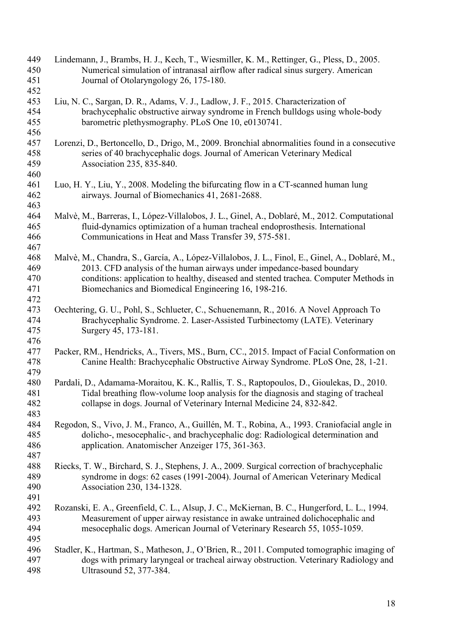| 449<br>450 | Lindemann, J., Brambs, H. J., Kech, T., Wiesmiller, K. M., Rettinger, G., Pless, D., 2005.<br>Numerical simulation of intranasal airflow after radical sinus surgery. American |
|------------|--------------------------------------------------------------------------------------------------------------------------------------------------------------------------------|
| 451<br>452 | Journal of Otolaryngology 26, 175-180.                                                                                                                                         |
| 453        | Liu, N. C., Sargan, D. R., Adams, V. J., Ladlow, J. F., 2015. Characterization of                                                                                              |
| 454        | brachycephalic obstructive airway syndrome in French bulldogs using whole-body                                                                                                 |
| 455        | barometric plethysmography. PLoS One 10, e0130741.                                                                                                                             |
| 456        |                                                                                                                                                                                |
| 457        | Lorenzi, D., Bertoncello, D., Drigo, M., 2009. Bronchial abnormalities found in a consecutive                                                                                  |
| 458<br>459 | series of 40 brachycephalic dogs. Journal of American Veterinary Medical<br>Association 235, 835-840.                                                                          |
| 460        |                                                                                                                                                                                |
| 461        | Luo, H. Y., Liu, Y., 2008. Modeling the bifurcating flow in a CT-scanned human lung                                                                                            |
| 462        | airways. Journal of Biomechanics 41, 2681-2688.                                                                                                                                |
| 463<br>464 | Malvè, M., Barreras, I., López-Villalobos, J. L., Ginel, A., Doblaré, M., 2012. Computational                                                                                  |
| 465        | fluid-dynamics optimization of a human tracheal endoprosthesis. International                                                                                                  |
| 466        | Communications in Heat and Mass Transfer 39, 575-581.                                                                                                                          |
| 467        |                                                                                                                                                                                |
| 468        | Malvè, M., Chandra, S., García, A., López-Villalobos, J. L., Finol, E., Ginel, A., Doblaré, M.,                                                                                |
| 469        | 2013. CFD analysis of the human airways under impedance-based boundary                                                                                                         |
| 470        | conditions: application to healthy, diseased and stented trachea. Computer Methods in                                                                                          |
| 471        | Biomechanics and Biomedical Engineering 16, 198-216.                                                                                                                           |
| 472        |                                                                                                                                                                                |
| 473        | Oechtering, G. U., Pohl, S., Schlueter, C., Schuenemann, R., 2016. A Novel Approach To                                                                                         |
| 474        | Brachycephalic Syndrome. 2. Laser-Assisted Turbinectomy (LATE). Veterinary                                                                                                     |
| 475        | Surgery 45, 173-181.                                                                                                                                                           |
| 476<br>477 |                                                                                                                                                                                |
| 478        | Packer, RM., Hendricks, A., Tivers, MS., Burn, CC., 2015. Impact of Facial Conformation on<br>Canine Health: Brachycephalic Obstructive Airway Syndrome. PLoS One, 28, 1-21.   |
| 479        |                                                                                                                                                                                |
| 480        | Pardali, D., Adamama-Moraitou, K. K., Rallis, T. S., Raptopoulos, D., Gioulekas, D., 2010.                                                                                     |
| 481        | Tidal breathing flow-volume loop analysis for the diagnosis and staging of tracheal                                                                                            |
| 482        | collapse in dogs. Journal of Veterinary Internal Medicine 24, 832-842.                                                                                                         |
| 483        |                                                                                                                                                                                |
| 484        | Regodon, S., Vivo, J. M., Franco, A., Guillén, M. T., Robina, A., 1993. Craniofacial angle in                                                                                  |
| 485        | dolicho-, mesocephalic-, and brachycephalic dog: Radiological determination and                                                                                                |
| 486        | application. Anatomischer Anzeiger 175, 361-363.                                                                                                                               |
| 487        |                                                                                                                                                                                |
| 488        | Riecks, T. W., Birchard, S. J., Stephens, J. A., 2009. Surgical correction of brachycephalic                                                                                   |
| 489        | syndrome in dogs: 62 cases (1991-2004). Journal of American Veterinary Medical                                                                                                 |
| 490<br>491 | Association 230, 134-1328.                                                                                                                                                     |
| 492        | Rozanski, E. A., Greenfield, C. L., Alsup, J. C., McKiernan, B. C., Hungerford, L. L., 1994.                                                                                   |
| 493        | Measurement of upper airway resistance in awake untrained dolichocephalic and                                                                                                  |
| 494        | mesocephalic dogs. American Journal of Veterinary Research 55, 1055-1059.                                                                                                      |
| 495        |                                                                                                                                                                                |
| 496        | Stadler, K., Hartman, S., Matheson, J., O'Brien, R., 2011. Computed tomographic imaging of                                                                                     |
| 497        | dogs with primary laryngeal or tracheal airway obstruction. Veterinary Radiology and                                                                                           |
| 498        | Ultrasound 52, 377-384.                                                                                                                                                        |
|            |                                                                                                                                                                                |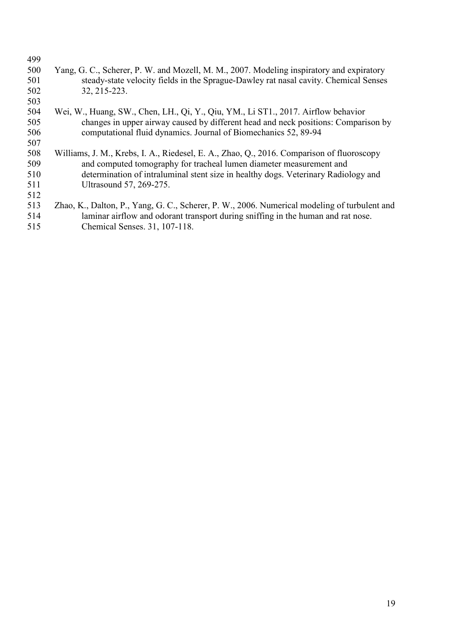| Yang, G. C., Scherer, P. W. and Mozell, M. M., 2007. Modeling inspiratory and expiratory     |
|----------------------------------------------------------------------------------------------|
| steady-state velocity fields in the Sprague-Dawley rat nasal cavity. Chemical Senses         |
| 32, 215-223.                                                                                 |
|                                                                                              |
| Wei, W., Huang, SW., Chen, LH., Qi, Y., Qiu, YM., Li ST1., 2017. Airflow behavior            |
| changes in upper airway caused by different head and neck positions: Comparison by           |
| computational fluid dynamics. Journal of Biomechanics 52, 89-94                              |
|                                                                                              |
| Williams, J. M., Krebs, I. A., Riedesel, E. A., Zhao, Q., 2016. Comparison of fluoroscopy    |
| and computed tomography for tracheal lumen diameter measurement and                          |
| determination of intraluminal stent size in healthy dogs. Veterinary Radiology and           |
| Ultrasound 57, 269-275.                                                                      |
|                                                                                              |
| Zhao, K., Dalton, P., Yang, G. C., Scherer, P. W., 2006. Numerical modeling of turbulent and |
| laminar airflow and odorant transport during sniffing in the human and rat nose.             |
| Chemical Senses. 31, 107-118.                                                                |
|                                                                                              |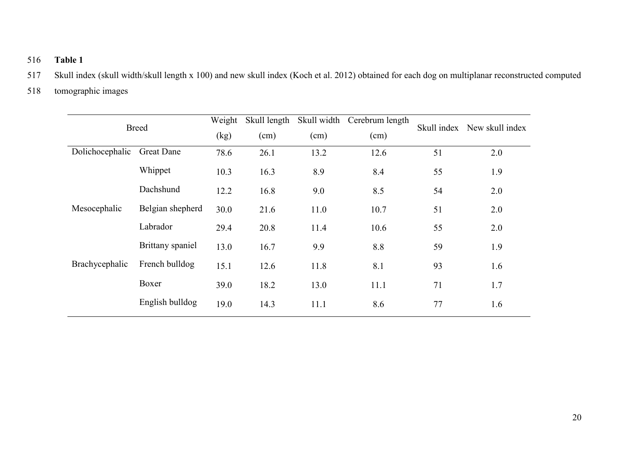## 516 **Table 1**

- 517 Skull index (skull width/skull length x 100) and new skull index (Koch et al. 2012) obtained for each dog on multiplanar reconstructed computed
- 518 tomographic images

| <b>Breed</b>    |                   | Weight | Skull length |      | Skull width Cerebrum length |    | Skull index New skull index |
|-----------------|-------------------|--------|--------------|------|-----------------------------|----|-----------------------------|
|                 |                   | (kg)   | (cm)         | (cm) | (cm)                        |    |                             |
| Dolichocephalic | <b>Great Dane</b> | 78.6   | 26.1         | 13.2 | 12.6                        | 51 | 2.0                         |
|                 | Whippet           | 10.3   | 16.3         | 8.9  | 8.4                         | 55 | 1.9                         |
|                 | Dachshund         | 12.2   | 16.8         | 9.0  | 8.5                         | 54 | 2.0                         |
| Mesocephalic    | Belgian shepherd  | 30.0   | 21.6         | 11.0 | 10.7                        | 51 | 2.0                         |
|                 | Labrador          | 29.4   | 20.8         | 11.4 | 10.6                        | 55 | 2.0                         |
|                 | Brittany spaniel  | 13.0   | 16.7         | 9.9  | 8.8                         | 59 | 1.9                         |
| Brachycephalic  | French bulldog    | 15.1   | 12.6         | 11.8 | 8.1                         | 93 | 1.6                         |
|                 | Boxer             | 39.0   | 18.2         | 13.0 | 11.1                        | 71 | 1.7                         |
|                 | English bulldog   | 19.0   | 14.3         | 11.1 | 8.6                         | 77 | 1.6                         |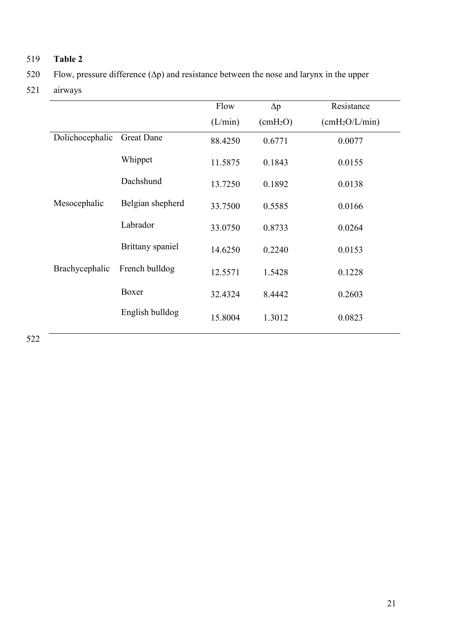# 519 **Table 2**

520 Flow, pressure difference (∆p) and resistance between the nose and larynx in the upper

521 airways

|                 |                   | Flow    | $\Delta p$               | Resistance                 |
|-----------------|-------------------|---------|--------------------------|----------------------------|
|                 |                   | (L/min) | $\text{(cmH}_2\text{O})$ | (cmH <sub>2</sub> O/L/min) |
| Dolichocephalic | <b>Great Dane</b> | 88.4250 | 0.6771                   | 0.0077                     |
|                 | Whippet           | 11.5875 | 0.1843                   | 0.0155                     |
|                 | Dachshund         | 13.7250 | 0.1892                   | 0.0138                     |
| Mesocephalic    | Belgian shepherd  | 33.7500 | 0.5585                   | 0.0166                     |
|                 | Labrador          | 33.0750 | 0.8733                   | 0.0264                     |
|                 | Brittany spaniel  | 14.6250 | 0.2240                   | 0.0153                     |
| Brachycephalic  | French bulldog    | 12.5571 | 1.5428                   | 0.1228                     |
|                 | Boxer             | 32.4324 | 8.4442                   | 0.2603                     |
|                 | English bulldog   | 15.8004 | 1.3012                   | 0.0823                     |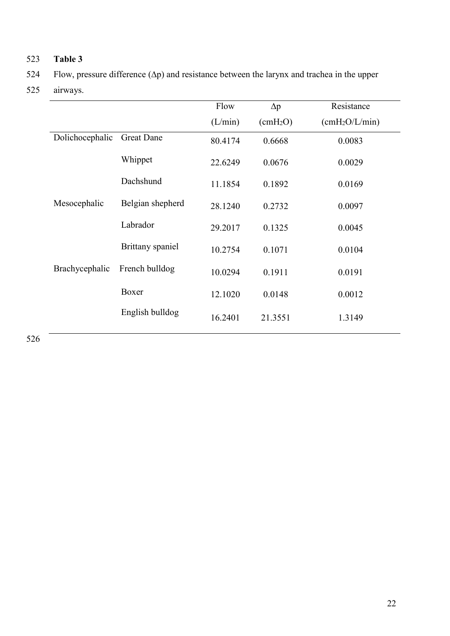# 523 **Table 3**

524 Flow, pressure difference (∆p) and resistance between the larynx and trachea in the upper

525 airways.

|                 |                   | Flow    | $\Delta p$               | Resistance                 |
|-----------------|-------------------|---------|--------------------------|----------------------------|
|                 |                   | (L/min) | $\text{(cmH}_2\text{O})$ | (cmH <sub>2</sub> O/L/min) |
| Dolichocephalic | <b>Great Dane</b> | 80.4174 | 0.6668                   | 0.0083                     |
|                 | Whippet           | 22.6249 | 0.0676                   | 0.0029                     |
|                 | Dachshund         | 11.1854 | 0.1892                   | 0.0169                     |
| Mesocephalic    | Belgian shepherd  | 28.1240 | 0.2732                   | 0.0097                     |
|                 | Labrador          | 29.2017 | 0.1325                   | 0.0045                     |
|                 | Brittany spaniel  | 10.2754 | 0.1071                   | 0.0104                     |
| Brachycephalic  | French bulldog    | 10.0294 | 0.1911                   | 0.0191                     |
|                 | Boxer             | 12.1020 | 0.0148                   | 0.0012                     |
|                 | English bulldog   | 16.2401 | 21.3551                  | 1.3149                     |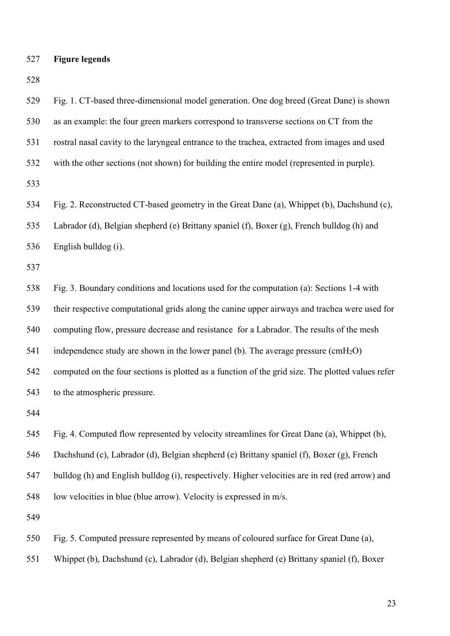**Figure legends**

 Fig. 1. CT-based three-dimensional model generation. One dog breed (Great Dane) is shown as an example: the four green markers correspond to transverse sections on CT from the rostral nasal cavity to the laryngeal entrance to the trachea, extracted from images and used with the other sections (not shown) for building the entire model (represented in purple). Fig. 2. Reconstructed CT-based geometry in the Great Dane (a), Whippet (b), Dachshund (c), Labrador (d), Belgian shepherd (e) Brittany spaniel (f), Boxer (g), French bulldog (h) and English bulldog (i). Fig. 3. Boundary conditions and locations used for the computation (a): Sections 1-4 with their respective computational grids along the canine upper airways and trachea were used for computing flow, pressure decrease and resistance for a Labrador. The results of the mesh 541 independence study are shown in the lower panel (b). The average pressure  $\text{cmH}_2\text{O}$ ) computed on the four sections is plotted as a function of the grid size. The plotted values refer to the atmospheric pressure. Fig. 4. Computed flow represented by velocity streamlines for Great Dane (a), Whippet (b), Dachshund (c), Labrador (d), Belgian shepherd (e) Brittany spaniel (f), Boxer (g), French bulldog (h) and English bulldog (i), respectively. Higher velocities are in red (red arrow) and low velocities in blue (blue arrow). Velocity is expressed in m/s. Fig. 5. Computed pressure represented by means of coloured surface for Great Dane (a), Whippet (b), Dachshund (c), Labrador (d), Belgian shepherd (e) Brittany spaniel (f), Boxer